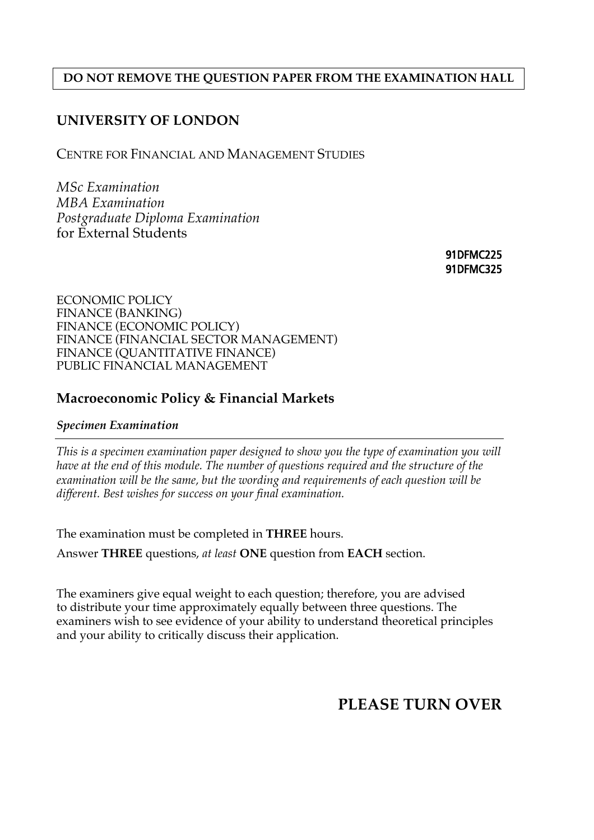#### **DO NOT REMOVE THE QUESTION PAPER FROM THE EXAMINATION HALL**

### **UNIVERSITY OF LONDON**

CENTRE FOR FINANCIAL AND MANAGEMENT STUDIES

*MSc Examination MBA Examination Postgraduate Diploma Examination*  for External Students

> 91DFMC225 91DFMC325

ECONOMIC POLICY FINANCE (BANKING) FINANCE (ECONOMIC POLICY) FINANCE (FINANCIAL SECTOR MANAGEMENT) FINANCE (QUANTITATIVE FINANCE) PUBLIC FINANCIAL MANAGEMENT

### **Macroeconomic Policy & Financial Markets**

#### *Specimen Examination*

*This is a specimen examination paper designed to show you the type of examination you will have at the end of this module. The number of questions required and the structure of the examination will be the same, but the wording and requirements of each question will be different. Best wishes for success on your final examination.* 

The examination must be completed in **THREE** hours.

Answer **THREE** questions, *at least* **ONE** question from **EACH** section.

The examiners give equal weight to each question; therefore, you are advised to distribute your time approximately equally between three questions. The examiners wish to see evidence of your ability to understand theoretical principles and your ability to critically discuss their application.

# **PLEASE TURN OVER**